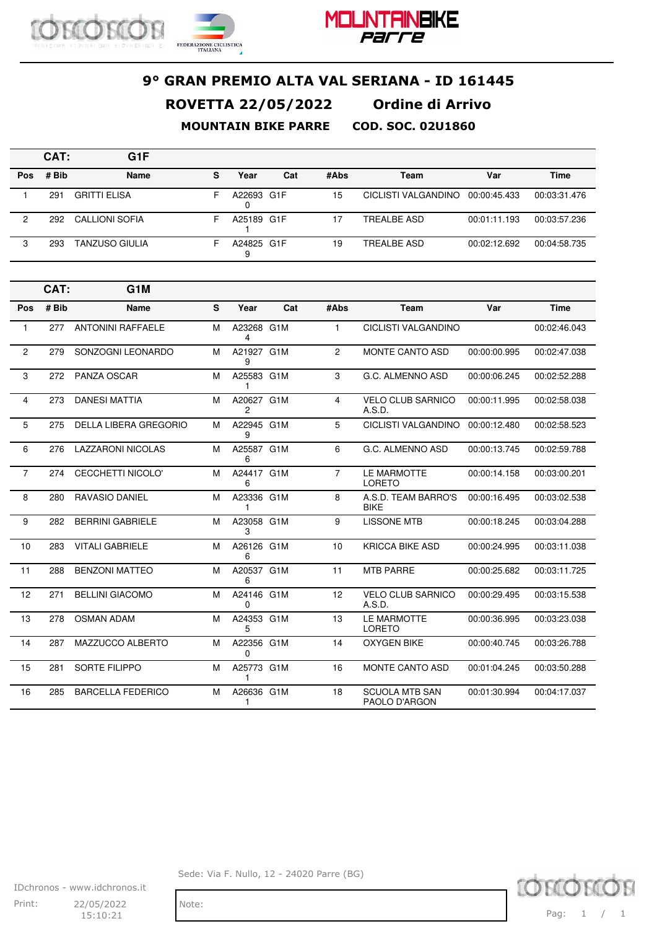



|            | CAT:  | G <sub>1</sub> F    |    |            |     |      |                     |              |              |
|------------|-------|---------------------|----|------------|-----|------|---------------------|--------------|--------------|
| <b>Pos</b> | # Bib | <b>Name</b>         | s  | Year       | Cat | #Abs | Team                | Var          | <b>Time</b>  |
|            | 291   | <b>GRITTI ELISA</b> | н. | A22693 G1F |     | 15   | CICLISTI VALGANDINO | 00:00:45.433 | 00:03:31.476 |
| 2          | 292   | CALLIONI SOFIA      | н. | A25189 G1F |     |      | TREALBE ASD         | 00:01:11.193 | 00:03:57.236 |
| 3          | 293   | TANZUSO GIULIA      | F  | A24825 G1F |     | 19   | TREALBE ASD         | 00:02:12.692 | 00:04:58.735 |

|                | CAT:  | G <sub>1</sub> M         |   |                            |     |                |                                        |              |              |
|----------------|-------|--------------------------|---|----------------------------|-----|----------------|----------------------------------------|--------------|--------------|
| Pos            | # Bib | <b>Name</b>              | S | Year                       | Cat | #Abs           | Team                                   | Var          | <b>Time</b>  |
| 1              | 277   | <b>ANTONINI RAFFAELE</b> | M | A23268 G1M<br>4            |     | $\mathbf{1}$   | <b>CICLISTI VALGANDINO</b>             |              | 00:02:46.043 |
| $\overline{2}$ | 279   | SONZOGNI LEONARDO        | M | A21927 G1M<br>9            |     | $\overline{2}$ | <b>MONTE CANTO ASD</b>                 | 00:00:00.995 | 00:02:47.038 |
| 3              | 272   | <b>PANZA OSCAR</b>       | M | A25583 G1M<br>1            |     | 3              | G.C. ALMENNO ASD                       | 00:00:06.245 | 00:02:52.288 |
| 4              | 273   | <b>DANESI MATTIA</b>     | м | A20627 G1M<br>$\mathbf{2}$ |     | 4              | <b>VELO CLUB SARNICO</b><br>A.S.D.     | 00:00:11.995 | 00:02:58.038 |
| 5              | 275   | DELLA LIBERA GREGORIO    | M | A22945 G1M<br>9            |     | 5              | CICLISTI VALGANDINO                    | 00:00:12.480 | 00:02:58.523 |
| 6              | 276   | <b>LAZZARONI NICOLAS</b> | M | A25587 G1M<br>6            |     | 6              | G.C. ALMENNO ASD                       | 00:00:13.745 | 00:02:59.788 |
| $\overline{7}$ | 274   | <b>CECCHETTI NICOLO'</b> | M | A24417 G1M<br>6            |     | $\overline{7}$ | LE MARMOTTE<br><b>LORETO</b>           | 00:00:14.158 | 00:03:00.201 |
| 8              | 280   | <b>RAVASIO DANIEL</b>    | M | A23336 G1M<br>1            |     | 8              | A.S.D. TEAM BARRO'S<br><b>BIKE</b>     | 00:00:16.495 | 00:03:02.538 |
| 9              | 282   | <b>BERRINI GABRIELE</b>  | M | A23058 G1M<br>3            |     | 9              | <b>LISSONE MTB</b>                     | 00:00:18.245 | 00:03:04.288 |
| 10             | 283   | <b>VITALI GABRIELE</b>   | M | A26126 G1M<br>6            |     | 10             | <b>KRICCA BIKE ASD</b>                 | 00:00:24.995 | 00:03:11.038 |
| 11             | 288   | <b>BENZONI MATTEO</b>    | M | A20537 G1M<br>6            |     | 11             | <b>MTB PARRE</b>                       | 00:00:25.682 | 00:03:11.725 |
| 12             | 271   | <b>BELLINI GIACOMO</b>   | M | A24146 G1M<br>$\Omega$     |     | 12             | <b>VELO CLUB SARNICO</b><br>A.S.D.     | 00:00:29.495 | 00:03:15.538 |
| 13             | 278   | <b>OSMAN ADAM</b>        | M | A24353 G1M<br>5            |     | 13             | LE MARMOTTE<br><b>LORETO</b>           | 00:00:36.995 | 00:03:23.038 |
| 14             | 287   | MAZZUCCO ALBERTO         | M | A22356 G1M<br>$\Omega$     |     | 14             | <b>OXYGEN BIKE</b>                     | 00:00:40.745 | 00:03:26.788 |
| 15             | 281   | <b>SORTE FILIPPO</b>     | M | A25773 G1M<br>1            |     | 16             | <b>MONTE CANTO ASD</b>                 | 00:01:04.245 | 00:03:50.288 |
| 16             | 285   | <b>BARCELLA FEDERICO</b> | M | A26636 G1M<br>1            |     | 18             | <b>SCUOLA MTB SAN</b><br>PAOLO D'ARGON | 00:01:30.994 | 00:04:17.037 |

TOM **KOK** Pag: 1 / 1

IDchronos - www.idchronos.it Print: 22/05/2022 Note: 15:10:21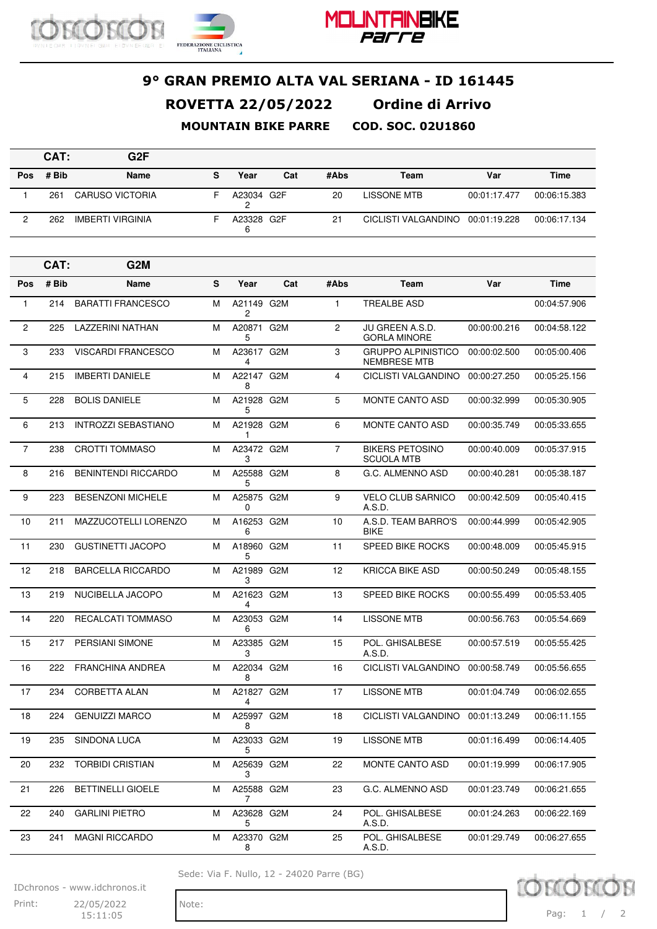



#### **9° GRAN PREMIO ALTA VAL SERIANA - ID 161445 ROVETTA 22/05/2022 Ordine di Arrivo**

**MOUNTAIN BIKE PARRE COD. SOC. 02U1860**

|     | CAT:  | G <sub>2</sub> F        |   |            |     |      |                                  |              |              |
|-----|-------|-------------------------|---|------------|-----|------|----------------------------------|--------------|--------------|
| Pos | # Bib | Name                    | s | Year       | Cat | #Abs | Team                             | Var          | <b>Time</b>  |
|     | 261   | <b>CARUSO VICTORIA</b>  |   | A23034 G2F |     | 20   | LISSONE MTB                      | 00:01:17.477 | 00:06:15.383 |
|     | 262   | <b>IMBERTI VIRGINIA</b> |   | A23328 G2F |     | 21   | CICLISTI VALGANDINO 00:01:19.228 |              | 00:06:17.134 |

|                | CAT:  | G <sub>2</sub> M           |   |                  |     |                |                                             |              |              |
|----------------|-------|----------------------------|---|------------------|-----|----------------|---------------------------------------------|--------------|--------------|
| Pos            | # Bib | <b>Name</b>                | S | Year             | Cat | #Abs           | Team                                        | Var          | <b>Time</b>  |
| $\mathbf{1}$   | 214   | <b>BARATTI FRANCESCO</b>   | М | A21149 G2M<br>2  |     | 1              | TREALBE ASD                                 |              | 00:04:57.906 |
| $\overline{2}$ | 225   | <b>LAZZERINI NATHAN</b>    | M | A20871 G2M<br>5  |     | 2              | JU GREEN A.S.D.<br><b>GORLA MINORE</b>      | 00:00:00.216 | 00:04:58.122 |
| 3              | 233   | VISCARDI FRANCESCO         | м | A23617 G2M<br>4  |     | 3              | <b>GRUPPO ALPINISTICO</b><br>NEMBRESE MTB   | 00:00:02.500 | 00:05:00.406 |
| 4              | 215   | <b>IMBERTI DANIELE</b>     | м | A22147 G2M<br>8  |     | 4              | CICLISTI VALGANDINO                         | 00:00:27.250 | 00:05:25.156 |
| 5              | 228   | <b>BOLIS DANIELE</b>       | M | A21928 G2M<br>5  |     | 5              | <b>MONTE CANTO ASD</b>                      | 00:00:32.999 | 00:05:30.905 |
| 6              | 213   | <b>INTROZZI SEBASTIANO</b> | м | A21928 G2M<br>1  |     | 6              | <b>MONTE CANTO ASD</b>                      | 00:00:35.749 | 00:05:33.655 |
| $\overline{7}$ | 238   | <b>CROTTI TOMMASO</b>      | M | A23472 G2M<br>3  |     | $\overline{7}$ | <b>BIKERS PETOSINO</b><br><b>SCUOLA MTB</b> | 00:00:40.009 | 00:05:37.915 |
| 8              | 216   | <b>BENINTENDI RICCARDO</b> | M | A25588 G2M<br>5  |     | 8              | G.C. ALMENNO ASD                            | 00:00:40.281 | 00:05:38.187 |
| 9              | 223   | <b>BESENZONI MICHELE</b>   | м | A25875 G2M<br>0  |     | 9              | <b>VELO CLUB SARNICO</b><br>A.S.D.          | 00:00:42.509 | 00:05:40.415 |
| 10             | 211   | MAZZUCOTELLI LORENZO       | м | A16253 G2M<br>6  |     | 10             | A.S.D. TEAM BARRO'S<br><b>BIKE</b>          | 00:00:44.999 | 00:05:42.905 |
| 11             | 230   | <b>GUSTINETTI JACOPO</b>   | M | A18960 G2M<br>5  |     | 11             | <b>SPEED BIKE ROCKS</b>                     | 00:00:48.009 | 00:05:45.915 |
| 12             | 218   | <b>BARCELLA RICCARDO</b>   | м | A21989 G2M<br>3  |     | 12             | <b>KRICCA BIKE ASD</b>                      | 00:00:50.249 | 00:05:48.155 |
| 13             | 219   | NUCIBELLA JACOPO           | M | A21623 G2M<br>4  |     | 13             | <b>SPEED BIKE ROCKS</b>                     | 00:00:55.499 | 00:05:53.405 |
| 14             | 220   | RECALCATI TOMMASO          | M | A23053 G2M<br>6  |     | 14             | <b>LISSONE MTB</b>                          | 00:00:56.763 | 00:05:54.669 |
| 15             | 217   | PERSIANI SIMONE            | м | A23385 G2M<br>3  |     | 15             | POL. GHISALBESE<br>A.S.D.                   | 00:00:57.519 | 00:05:55.425 |
| 16             | 222   | <b>FRANCHINA ANDREA</b>    | M | A22034 G2M<br>8  |     | 16             | CICLISTI VALGANDINO                         | 00:00:58.749 | 00:05:56.655 |
| 17             | 234   | <b>CORBETTA ALAN</b>       | м | A21827 G2M<br>4  |     | 17             | <b>LISSONE MTB</b>                          | 00:01:04.749 | 00:06:02.655 |
| 18             | 224   | <b>GENUIZZI MARCO</b>      | м | A25997 G2M<br>8  |     | 18             | CICLISTI VALGANDINO                         | 00:01:13.249 | 00:06:11.155 |
| 19             | 235   | <b>SINDONA LUCA</b>        | M | A23033 G2M<br>5. |     | 19             | <b>LISSONE MTB</b>                          | 00:01:16.499 | 00:06:14.405 |
| 20             | 232   | <b>TORBIDI CRISTIAN</b>    | M | A25639 G2M<br>3  |     | 22             | MONTE CANTO ASD                             | 00:01:19.999 | 00:06:17.905 |
| 21             | 226   | <b>BETTINELLI GIOELE</b>   | M | A25588 G2M<br>7  |     | 23             | G.C. ALMENNO ASD                            | 00:01:23.749 | 00:06:21.655 |
| 22             | 240   | <b>GARLINI PIETRO</b>      | М | A23628 G2M<br>5  |     | 24             | POL. GHISALBESE<br>A.S.D.                   | 00:01:24.263 | 00:06:22.169 |
| 23             | 241   | <b>MAGNI RICCARDO</b>      | M | A23370 G2M<br>8  |     | 25             | POL. GHISALBESE<br>A.S.D.                   | 00:01:29.749 | 00:06:27.655 |

Sede: Via F. Nullo, 12 - 24020 Parre (BG)

IDchronos - www.idchronos.it

Print: 22/05/2022 Note: 15:11:05

**TO BO** Pag: 1 / 2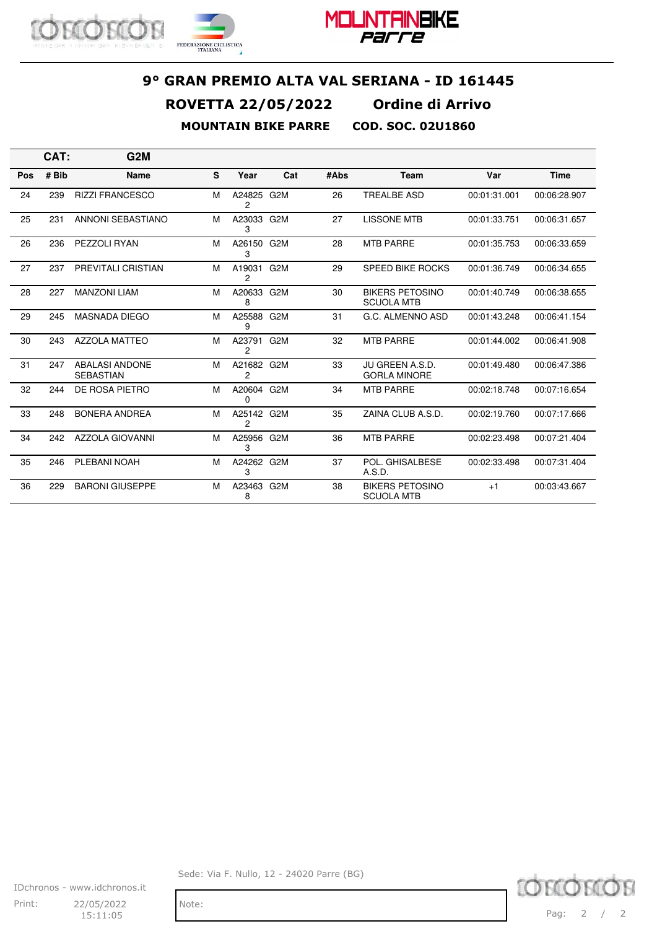



|     | CAT:  | G2M                                       |   |                 |                  |      |                                             |              |              |
|-----|-------|-------------------------------------------|---|-----------------|------------------|------|---------------------------------------------|--------------|--------------|
| Pos | # Bib | <b>Name</b>                               | S | Year            | Cat              | #Abs | Team                                        | Var          | <b>Time</b>  |
| 24  | 239   | <b>RIZZI FRANCESCO</b>                    | м | A24825<br>2     | G2M              | 26   | <b>TREALBE ASD</b>                          | 00:01:31.001 | 00:06:28.907 |
| 25  | 231   | ANNONI SEBASTIANO                         | M | A23033<br>3     | G2M              | 27   | <b>LISSONE MTB</b>                          | 00:01:33.751 | 00:06:31.657 |
| 26  | 236   | PEZZOLI RYAN                              | M | A26150 G2M<br>3 |                  | 28   | <b>MTB PARRE</b>                            | 00:01:35.753 | 00:06:33.659 |
| 27  | 237   | <b>PREVITALI CRISTIAN</b>                 | M | A19031<br>2     | G <sub>2</sub> M | 29   | <b>SPEED BIKE ROCKS</b>                     | 00:01:36.749 | 00:06:34.655 |
| 28  | 227   | <b>MANZONI LIAM</b>                       | м | A20633 G2M<br>8 |                  | 30   | <b>BIKERS PETOSINO</b><br><b>SCUOLA MTB</b> | 00:01:40.749 | 00:06:38.655 |
| 29  | 245   | <b>MASNADA DIEGO</b>                      | M | A25588 G2M<br>9 |                  | 31   | G.C. ALMENNO ASD                            | 00:01:43.248 | 00:06:41.154 |
| 30  | 243   | <b>AZZOLA MATTEO</b>                      | м | A23791<br>2     | G <sub>2</sub> M | 32   | <b>MTB PARRE</b>                            | 00:01:44.002 | 00:06:41.908 |
| 31  | 247   | <b>ABALASI ANDONE</b><br><b>SEBASTIAN</b> | M | A21682<br>2     | G <sub>2</sub> M | 33   | JU GREEN A.S.D.<br><b>GORLA MINORE</b>      | 00:01:49.480 | 00:06:47.386 |
| 32  | 244   | DE ROSA PIETRO                            | M | A20604 G2M<br>0 |                  | 34   | <b>MTB PARRE</b>                            | 00:02:18.748 | 00:07:16.654 |
| 33  | 248   | <b>BONERA ANDREA</b>                      | M | A25142 G2M<br>2 |                  | 35   | ZAINA CLUB A.S.D.                           | 00:02:19.760 | 00:07:17.666 |
| 34  | 242   | AZZOLA GIOVANNI                           | M | A25956 G2M<br>З |                  | 36   | <b>MTB PARRE</b>                            | 00:02:23.498 | 00:07:21.404 |
| 35  | 246   | PLEBANI NOAH                              | M | A24262 G2M<br>3 |                  | 37   | POL. GHISALBESE<br>A.S.D.                   | 00:02:33.498 | 00:07:31.404 |
| 36  | 229   | <b>BARONI GIUSEPPE</b>                    | M | A23463<br>8     | G <sub>2</sub> M | 38   | <b>BIKERS PETOSINO</b><br><b>SCUOLA MTB</b> | $+1$         | 00:03:43.667 |

IDchronos - www.idchronos.it Print: 22/05/2022 Note: 15:11:05

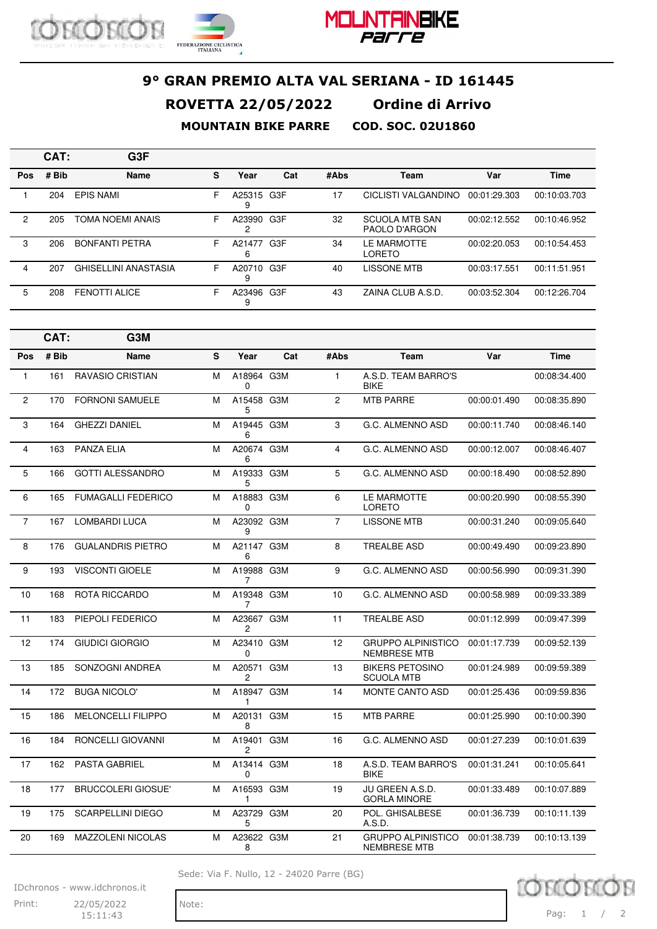



|                      | CAT:  | G <sub>3</sub> F            |   |                 |     |      |                                        |              |              |
|----------------------|-------|-----------------------------|---|-----------------|-----|------|----------------------------------------|--------------|--------------|
| <b>Pos</b>           | # Bib | <b>Name</b>                 | s | Year            | Cat | #Abs | Team                                   | Var          | <b>Time</b>  |
|                      | 204   | <b>EPIS NAMI</b>            | F | A25315 G3F<br>9 |     | 17   | CICLISTI VALGANDINO                    | 00:01:29.303 | 00:10:03.703 |
| $\mathbf{2}^{\circ}$ | 205   | TOMA NOEMI ANAIS            | F | A23990          | G3F | 32   | <b>SCUOLA MTB SAN</b><br>PAOLO D'ARGON | 00:02:12.552 | 00:10:46.952 |
| 3                    | 206   | <b>BONFANTI PETRA</b>       | F | A21477<br>ь     | G3F | 34   | LE MARMOTTE<br><b>LORETO</b>           | 00:02:20.053 | 00:10:54.453 |
| 4                    | 207   | <b>GHISELLINI ANASTASIA</b> | F | A20710<br>9     | G3F | 40   | <b>LISSONE MTB</b>                     | 00:03:17.551 | 00:11:51.951 |
| 5                    | 208   | <b>FENOTTI ALICE</b>        | F | A23496 G3F<br>9 |     | 43   | ZAINA CLUB A.S.D.                      | 00:03:52.304 | 00:12:26.704 |

|                | CAT:  | G3M                       |   |                 |     |                |                                                  |              |              |
|----------------|-------|---------------------------|---|-----------------|-----|----------------|--------------------------------------------------|--------------|--------------|
| Pos            | # Bib | <b>Name</b>               | S | Year            | Cat | #Abs           | <b>Team</b>                                      | Var          | <b>Time</b>  |
| $\mathbf{1}$   | 161   | <b>RAVASIO CRISTIAN</b>   | M | A18964 G3M<br>0 |     | $\mathbf{1}$   | A.S.D. TEAM BARRO'S<br><b>BIKE</b>               |              | 00:08:34.400 |
| 2              | 170   | <b>FORNONI SAMUELE</b>    | M | A15458 G3M<br>5 |     | $\overline{2}$ | <b>MTB PARRE</b>                                 | 00:00:01.490 | 00:08:35.890 |
| 3              | 164   | <b>GHEZZI DANIEL</b>      | M | A19445 G3M<br>6 |     | 3              | G.C. ALMENNO ASD                                 | 00:00:11.740 | 00:08:46.140 |
| $\overline{4}$ | 163   | <b>PANZA ELIA</b>         | M | A20674 G3M<br>6 |     | $\overline{4}$ | G.C. ALMENNO ASD                                 | 00:00:12.007 | 00:08:46.407 |
| 5              | 166   | <b>GOTTI ALESSANDRO</b>   | M | A19333 G3M<br>5 |     | 5              | G.C. ALMENNO ASD                                 | 00:00:18.490 | 00:08:52.890 |
| 6              | 165   | <b>FUMAGALLI FEDERICO</b> | M | A18883 G3M<br>0 |     | 6              | LE MARMOTTE<br><b>LORETO</b>                     | 00:00:20.990 | 00:08:55.390 |
| $\overline{7}$ | 167   | LOMBARDI LUCA             | м | A23092 G3M<br>9 |     | $\overline{7}$ | <b>LISSONE MTB</b>                               | 00:00:31.240 | 00:09:05.640 |
| 8              | 176   | <b>GUALANDRIS PIETRO</b>  | M | A21147 G3M<br>6 |     | 8              | <b>TREALBE ASD</b>                               | 00:00:49.490 | 00:09:23.890 |
| 9              | 193   | <b>VISCONTI GIOELE</b>    | м | A19988 G3M<br>7 |     | 9              | G.C. ALMENNO ASD                                 | 00:00:56.990 | 00:09:31.390 |
| 10             | 168   | ROTA RICCARDO             | M | A19348 G3M<br>7 |     | 10             | G.C. ALMENNO ASD                                 | 00:00:58.989 | 00:09:33.389 |
| 11             | 183   | PIEPOLI FEDERICO          | M | A23667 G3M<br>2 |     | 11             | <b>TREALBE ASD</b>                               | 00:01:12.999 | 00:09:47.399 |
| 12             | 174   | <b>GIUDICI GIORGIO</b>    | M | A23410 G3M<br>0 |     | 12             | <b>GRUPPO ALPINISTICO</b><br><b>NEMBRESE MTB</b> | 00:01:17.739 | 00:09:52.139 |
| 13             | 185   | SONZOGNI ANDREA           | M | A20571 G3M<br>2 |     | 13             | <b>BIKERS PETOSINO</b><br><b>SCUOLA MTB</b>      | 00:01:24.989 | 00:09:59.389 |
| 14             | 172   | <b>BUGA NICOLO'</b>       | M | A18947 G3M<br>1 |     | 14             | MONTE CANTO ASD                                  | 00:01:25.436 | 00:09:59.836 |
| 15             | 186   | <b>MELONCELLI FILIPPO</b> | м | A20131 G3M<br>8 |     | 15             | <b>MTB PARRE</b>                                 | 00:01:25.990 | 00:10:00.390 |
| 16             | 184   | RONCELLI GIOVANNI         | M | A19401 G3M<br>2 |     | 16             | G.C. ALMENNO ASD                                 | 00:01:27.239 | 00:10:01.639 |
| 17             | 162   | <b>PASTA GABRIEL</b>      | м | A13414 G3M<br>0 |     | 18             | A.S.D. TEAM BARRO'S<br><b>BIKE</b>               | 00:01:31.241 | 00:10:05.641 |
| 18             | 177   | <b>BRUCCOLERI GIOSUE'</b> | м | A16593 G3M<br>1 |     | 19             | JU GREEN A.S.D.<br><b>GORLA MINORE</b>           | 00:01:33.489 | 00:10:07.889 |
| 19             | 175   | <b>SCARPELLINI DIEGO</b>  | м | A23729 G3M<br>5 |     | 20             | POL. GHISALBESE<br>A.S.D.                        | 00:01:36.739 | 00:10:11.139 |
| 20             | 169   | <b>MAZZOLENI NICOLAS</b>  | M | A23622 G3M<br>8 |     | 21             | <b>GRUPPO ALPINISTICO</b><br><b>NEMBRESE MTB</b> | 00:01:38.739 | 00:10:13.139 |

Sede: Via F. Nullo, 12 - 24020 Parre (BG)



IDchronos - www.idchronos.it

Print: 22/05/2022 Note: 15:11:43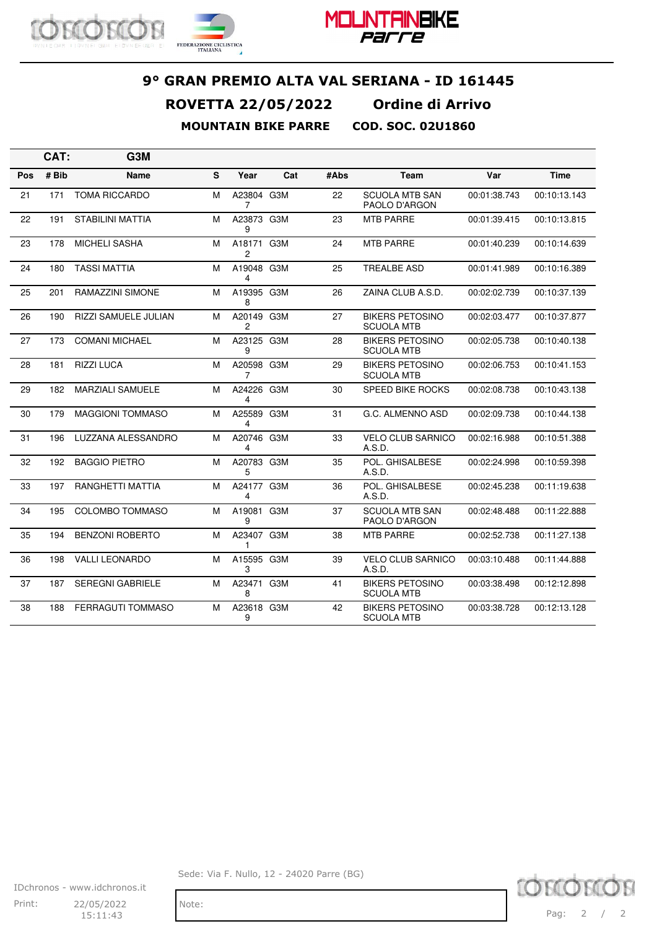



|     | CAT:  | G3M                         |   |                 |     |      |                                             |              |              |
|-----|-------|-----------------------------|---|-----------------|-----|------|---------------------------------------------|--------------|--------------|
| Pos | # Bib | Name                        | S | Year            | Cat | #Abs | <b>Team</b>                                 | Var          | <b>Time</b>  |
| 21  | 171   | <b>TOMA RICCARDO</b>        | М | A23804 G3M<br>7 |     | 22   | <b>SCUOLA MTB SAN</b><br>PAOLO D'ARGON      | 00:01:38.743 | 00:10:13.143 |
| 22  | 191   | STABILINI MATTIA            | м | A23873 G3M<br>9 |     | 23   | <b>MTB PARRE</b>                            | 00:01:39.415 | 00:10:13.815 |
| 23  | 178   | <b>MICHELI SASHA</b>        | м | A18171<br>2     | G3M | 24   | <b>MTB PARRE</b>                            | 00:01:40.239 | 00:10:14.639 |
| 24  | 180   | <b>TASSI MATTIA</b>         | М | A19048 G3M<br>4 |     | 25   | <b>TREALBE ASD</b>                          | 00:01:41.989 | 00:10:16.389 |
| 25  | 201   | <b>RAMAZZINI SIMONE</b>     | м | A19395 G3M<br>8 |     | 26   | ZAINA CLUB A.S.D.                           | 00:02:02.739 | 00:10:37.139 |
| 26  | 190   | <b>RIZZI SAMUELE JULIAN</b> | М | A20149 G3M<br>2 |     | 27   | <b>BIKERS PETOSINO</b><br><b>SCUOLA MTB</b> | 00:02:03.477 | 00:10:37.877 |
| 27  | 173   | <b>COMANI MICHAEL</b>       | м | A23125 G3M<br>9 |     | 28   | <b>BIKERS PETOSINO</b><br><b>SCUOLA MTB</b> | 00:02:05.738 | 00:10:40.138 |
| 28  | 181   | <b>RIZZI LUCA</b>           | М | A20598 G3M<br>7 |     | 29   | <b>BIKERS PETOSINO</b><br><b>SCUOLA MTB</b> | 00:02:06.753 | 00:10:41.153 |
| 29  | 182   | <b>MARZIALI SAMUELE</b>     | м | A24226 G3M<br>4 |     | 30   | <b>SPEED BIKE ROCKS</b>                     | 00:02:08.738 | 00:10:43.138 |
| 30  | 179   | <b>MAGGIONI TOMMASO</b>     | м | A25589 G3M<br>4 |     | 31   | G.C. ALMENNO ASD                            | 00:02:09.738 | 00:10:44.138 |
| 31  | 196   | LUZZANA ALESSANDRO          | м | A20746 G3M<br>4 |     | 33   | <b>VELO CLUB SARNICO</b><br>A.S.D.          | 00:02:16.988 | 00:10:51.388 |
| 32  | 192   | <b>BAGGIO PIETRO</b>        | М | A20783 G3M<br>5 |     | 35   | POL. GHISALBESE<br>A.S.D.                   | 00:02:24.998 | 00:10:59.398 |
| 33  | 197   | RANGHETTI MATTIA            | М | A24177 G3M<br>4 |     | 36   | POL. GHISALBESE<br>A.S.D.                   | 00:02:45.238 | 00:11:19.638 |
| 34  | 195   | <b>COLOMBO TOMMASO</b>      | м | A19081<br>9     | G3M | 37   | <b>SCUOLA MTB SAN</b><br>PAOLO D'ARGON      | 00:02:48.488 | 00:11:22.888 |
| 35  | 194   | <b>BENZONI ROBERTO</b>      | М | A23407 G3M<br>1 |     | 38   | <b>MTB PARRE</b>                            | 00:02:52.738 | 00:11:27.138 |
| 36  | 198   | <b>VALLI LEONARDO</b>       | м | A15595 G3M<br>3 |     | 39   | <b>VELO CLUB SARNICO</b><br>A.S.D.          | 00:03:10.488 | 00:11:44.888 |
| 37  | 187   | <b>SEREGNI GABRIELE</b>     | М | A23471 G3M<br>8 |     | 41   | <b>BIKERS PETOSINO</b><br><b>SCUOLA MTB</b> | 00:03:38.498 | 00:12:12.898 |
| 38  | 188   | <b>FERRAGUTI TOMMASO</b>    | М | A23618 G3M<br>9 |     | 42   | <b>BIKERS PETOSINO</b><br><b>SCUOLA MTB</b> | 00:03:38.728 | 00:12:13.128 |

IDchronos - www.idchronos.it Print: 22/05/2022 Note: 15:11:43

Sede: Via F. Nullo, 12 - 24020 Parre (BG)

TOM **KOK** Pag: 2 / 2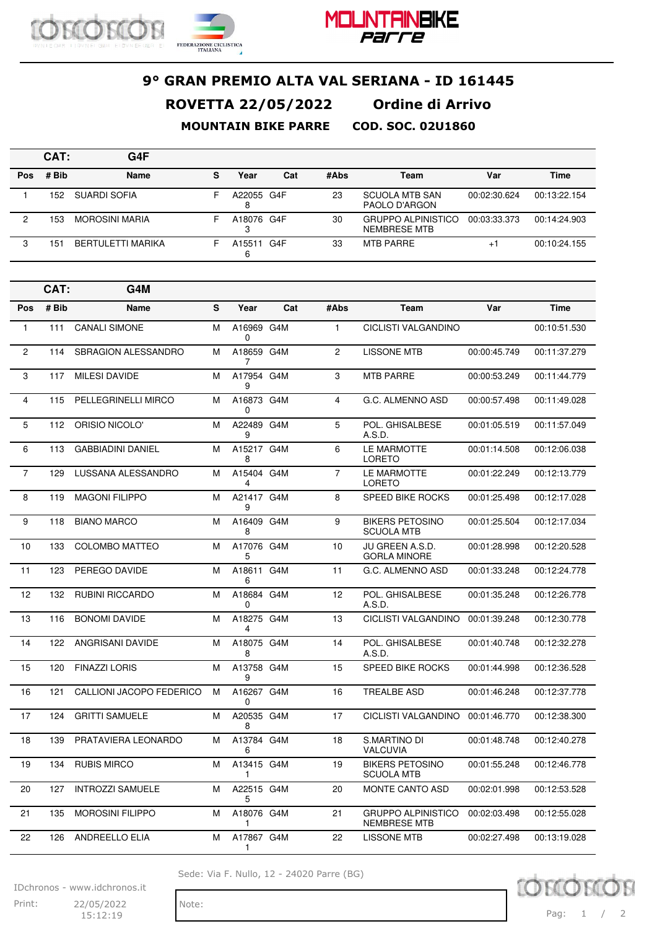



# **9° GRAN PREMIO ALTA VAL SERIANA - ID 161445 ROVETTA 22/05/2022 Ordine di Arrivo**

**MOUNTAIN BIKE PARRE COD. SOC. 02U1860**

|     | CAT:  | G4F                      |    |            |     |      |                                           |              |              |
|-----|-------|--------------------------|----|------------|-----|------|-------------------------------------------|--------------|--------------|
| Pos | # Bib | Name                     | s  | Year       | Cat | #Abs | Team                                      | Var          | <b>Time</b>  |
|     | 152   | SUARDI SOFIA             | н. | A22055 G4F |     | 23   | <b>SCUOLA MTB SAN</b><br>PAOLO D'ARGON    | 00:02:30.624 | 00:13:22.154 |
| ົ   | 153   | <b>MOROSINI MARIA</b>    | F  | A18076 G4F |     | 30   | <b>GRUPPO ALPINISTICO</b><br>NEMBRESE MTB | 00:03:33.373 | 00:14:24.903 |
|     | 151   | <b>BERTULETTI MARIKA</b> |    | A15511 G4F |     | 33   | <b>MTB PARRE</b>                          | $+$          | 00:10:24.155 |

|                | CAT:  | G4M                      |   |                        |     |                |                                                  |              |              |
|----------------|-------|--------------------------|---|------------------------|-----|----------------|--------------------------------------------------|--------------|--------------|
| Pos            | # Bib | <b>Name</b>              | S | Year                   | Cat | #Abs           | Team                                             | Var          | <b>Time</b>  |
| $\mathbf{1}$   | 111   | <b>CANALI SIMONE</b>     | м | A16969 G4M<br>$\Omega$ |     | $\mathbf{1}$   | CICLISTI VALGANDINO                              |              | 00:10:51.530 |
| $\overline{c}$ | 114   | SBRAGION ALESSANDRO      | M | A18659 G4M<br>7        |     | $\overline{2}$ | <b>LISSONE MTB</b>                               | 00:00:45.749 | 00:11:37.279 |
| 3              | 117   | <b>MILESI DAVIDE</b>     | M | A17954 G4M<br>9        |     | 3              | <b>MTB PARRE</b>                                 | 00:00:53.249 | 00:11:44.779 |
| 4              | 115   | PELLEGRINELLI MIRCO      | м | A16873 G4M<br>0        |     | $\overline{4}$ | G.C. ALMENNO ASD                                 | 00:00:57.498 | 00:11:49.028 |
| 5              | 112   | ORISIO NICOLO'           | M | A22489 G4M<br>9        |     | 5              | POL. GHISALBESE<br>A.S.D.                        | 00:01:05.519 | 00:11:57.049 |
| 6              | 113   | <b>GABBIADINI DANIEL</b> | м | A15217 G4M<br>8        |     | 6              | LE MARMOTTE<br><b>LORETO</b>                     | 00:01:14.508 | 00:12:06.038 |
| $\overline{7}$ | 129   | LUSSANA ALESSANDRO       | M | A15404 G4M<br>4        |     | $\overline{7}$ | LE MARMOTTE<br><b>LORETO</b>                     | 00:01:22.249 | 00:12:13.779 |
| 8              | 119   | <b>MAGONI FILIPPO</b>    | M | A21417 G4M<br>9        |     | 8              | SPEED BIKE ROCKS                                 | 00:01:25.498 | 00:12:17.028 |
| 9              | 118   | <b>BIANO MARCO</b>       | м | A16409 G4M<br>8        |     | 9              | <b>BIKERS PETOSINO</b><br><b>SCUOLA MTB</b>      | 00:01:25.504 | 00:12:17.034 |
| 10             | 133   | <b>COLOMBO MATTEO</b>    | м | A17076 G4M<br>5        |     | 10             | JU GREEN A.S.D.<br><b>GORLA MINORE</b>           | 00:01:28.998 | 00:12:20.528 |
| 11             | 123   | PEREGO DAVIDE            | M | A18611 G4M<br>6        |     | 11             | G.C. ALMENNO ASD                                 | 00:01:33.248 | 00:12:24.778 |
| 12             | 132   | <b>RUBINI RICCARDO</b>   | м | A18684 G4M<br>0        |     | 12             | POL. GHISALBESE<br>A.S.D.                        | 00:01:35.248 | 00:12:26.778 |
| 13             | 116   | <b>BONOMI DAVIDE</b>     | M | A18275 G4M<br>4        |     | 13             | <b>CICLISTI VALGANDINO</b>                       | 00:01:39.248 | 00:12:30.778 |
| 14             | 122   | <b>ANGRISANI DAVIDE</b>  | м | A18075 G4M<br>8        |     | 14             | POL. GHISALBESE<br>A.S.D.                        | 00:01:40.748 | 00:12:32.278 |
| 15             | 120   | <b>FINAZZI LORIS</b>     | м | A13758 G4M<br>9        |     | 15             | <b>SPEED BIKE ROCKS</b>                          | 00:01:44.998 | 00:12:36.528 |
| 16             | 121   | CALLIONI JACOPO FEDERICO | м | A16267 G4M<br>$\Omega$ |     | 16             | <b>TREALBE ASD</b>                               | 00:01:46.248 | 00:12:37.778 |
| 17             | 124   | <b>GRITTI SAMUELE</b>    | м | A20535 G4M<br>8        |     | 17             | CICLISTI VALGANDINO                              | 00:01:46.770 | 00:12:38.300 |
| 18             | 139   | PRATAVIERA LEONARDO      | M | A13784 G4M<br>6        |     | 18             | S.MARTINO DI<br><b>VALCUVIA</b>                  | 00:01:48.748 | 00:12:40.278 |
| 19             | 134   | <b>RUBIS MIRCO</b>       | M | A13415 G4M<br>1        |     | 19             | <b>BIKERS PETOSINO</b><br><b>SCUOLA MTB</b>      | 00:01:55.248 | 00:12:46.778 |
| 20             | 127   | <b>INTROZZI SAMUELE</b>  | м | A22515 G4M<br>5        |     | 20             | MONTE CANTO ASD                                  | 00:02:01.998 | 00:12:53.528 |
| 21             | 135   | <b>MOROSINI FILIPPO</b>  | M | A18076 G4M<br>1        |     | 21             | <b>GRUPPO ALPINISTICO</b><br><b>NEMBRESE MTB</b> | 00:02:03.498 | 00:12:55.028 |
| 22             | 126   | <b>ANDREELLO ELIA</b>    | м | A17867 G4M<br>-1       |     | 22             | <b>LISSONE MTB</b>                               | 00:02:27.498 | 00:13:19.028 |

Sede: Via F. Nullo, 12 - 24020 Parre (BG)



IDchronos - www.idchronos.it

Print: 22/05/2022 Note: 15:12:19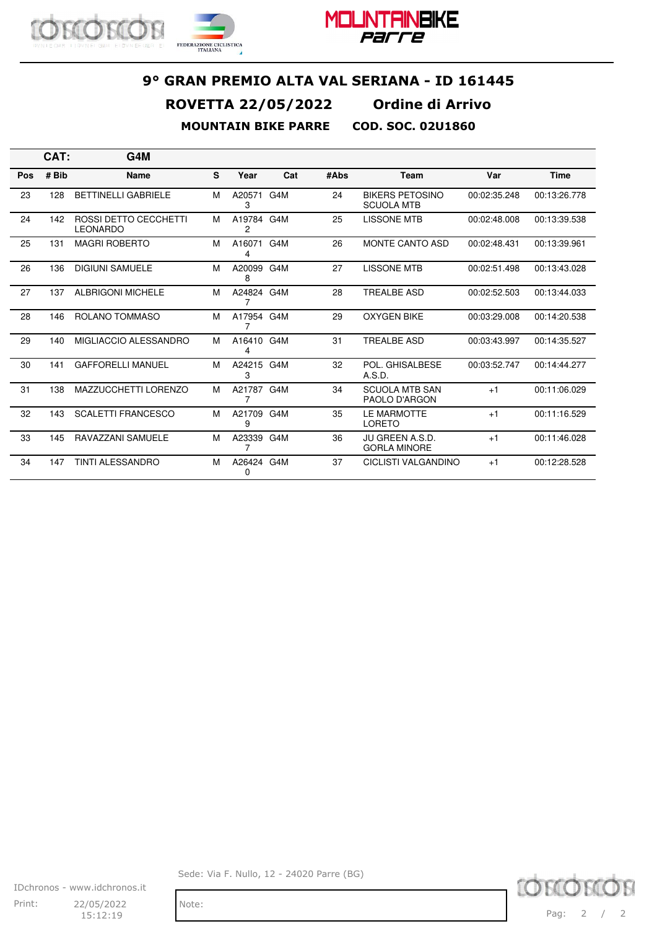





|     | CAT:  | G4M                                      |   |                 |     |      |                                             |              |              |
|-----|-------|------------------------------------------|---|-----------------|-----|------|---------------------------------------------|--------------|--------------|
| Pos | # Bib | <b>Name</b>                              | S | Year            | Cat | #Abs | Team                                        | Var          | <b>Time</b>  |
| 23  | 128   | <b>BETTINELLI GABRIELE</b>               | м | A20571<br>3     | G4M | 24   | <b>BIKERS PETOSINO</b><br><b>SCUOLA MTB</b> | 00:02:35.248 | 00:13:26.778 |
| 24  | 142   | ROSSI DETTO CECCHETTI<br><b>LEONARDO</b> | м | A19784 G4M<br>2 |     | 25   | <b>LISSONE MTB</b>                          | 00:02:48.008 | 00:13:39.538 |
| 25  | 131   | <b>MAGRI ROBERTO</b>                     | м | A16071<br>4     | G4M | 26   | <b>MONTE CANTO ASD</b>                      | 00:02:48.431 | 00:13:39.961 |
| 26  | 136   | <b>DIGIUNI SAMUELE</b>                   | м | A20099<br>8     | G4M | 27   | <b>LISSONE MTB</b>                          | 00:02:51.498 | 00:13:43.028 |
| 27  | 137   | <b>ALBRIGONI MICHELE</b>                 | м | A24824 G4M<br>7 |     | 28   | <b>TREALBE ASD</b>                          | 00:02:52.503 | 00:13:44.033 |
| 28  | 146   | ROLANO TOMMASO                           | м | A17954 G4M<br>7 |     | 29   | <b>OXYGEN BIKE</b>                          | 00:03:29.008 | 00:14:20.538 |
| 29  | 140   | MIGLIACCIO ALESSANDRO                    | м | A16410 G4M<br>4 |     | 31   | <b>TREALBE ASD</b>                          | 00:03:43.997 | 00:14:35.527 |
| 30  | 141   | <b>GAFFORELLI MANUEL</b>                 | м | A24215 G4M<br>3 |     | 32   | POL. GHISALBESE<br>A.S.D.                   | 00:03:52.747 | 00:14:44.277 |
| 31  | 138   | MAZZUCCHETTI LORENZO                     | м | A21787 G4M<br>7 |     | 34   | <b>SCUOLA MTB SAN</b><br>PAOLO D'ARGON      | $+1$         | 00:11:06.029 |
| 32  | 143   | <b>SCALETTI FRANCESCO</b>                | м | A21709 G4M<br>9 |     | 35   | LE MARMOTTE<br>LORETO                       | $+1$         | 00:11:16.529 |
| 33  | 145   | RAVAZZANI SAMUELE                        | м | A23339<br>7     | G4M | 36   | JU GREEN A.S.D.<br><b>GORLA MINORE</b>      | $+1$         | 00:11:46.028 |
| 34  | 147   | <b>TINTI ALESSANDRO</b>                  | м | A26424 G4M<br>0 |     | 37   | <b>CICLISTI VALGANDINO</b>                  | $+1$         | 00:12:28.528 |

IDchronos - www.idchronos.it Print: 22/05/2022 Note: 15:12:19

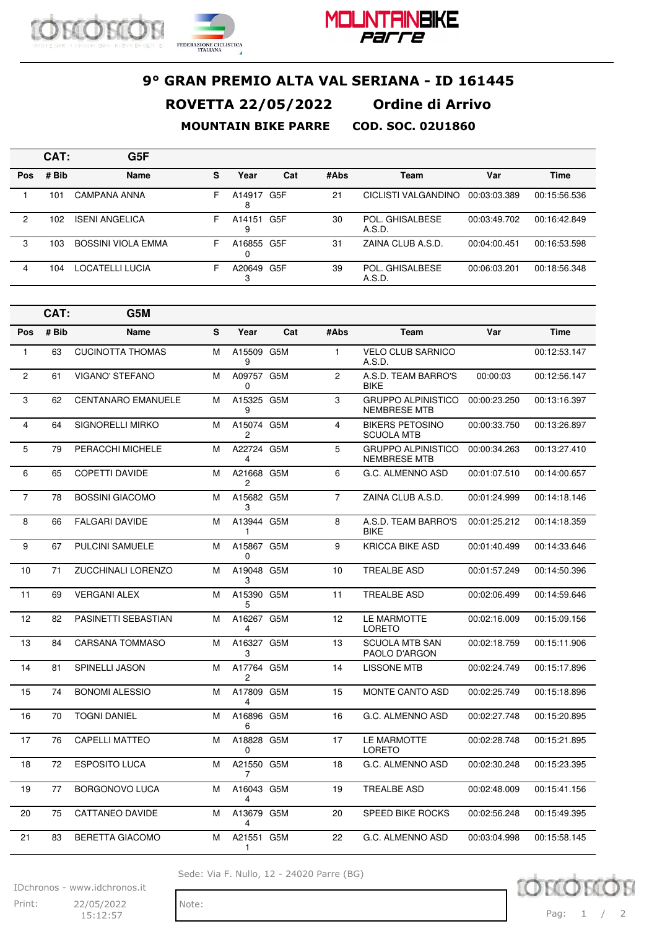



|            | CAT:  | G5F                   |   |             |     |      |                           |              |              |
|------------|-------|-----------------------|---|-------------|-----|------|---------------------------|--------------|--------------|
| <b>Pos</b> | # Bib | <b>Name</b>           | s | Year        | Cat | #Abs | <b>Team</b>               | Var          | Time         |
|            | 101   | CAMPANA ANNA          | F | A14917<br>8 | G5F | 21   | CICLISTI VALGANDINO       | 00:03:03.389 | 00:15:56.536 |
| 2          | 102   | <b>ISENI ANGELICA</b> | F | A14151<br>9 | G5F | 30   | POL. GHISALBESE<br>A.S.D. | 00:03:49.702 | 00:16:42.849 |
| 3          | 103   | BOSSINI VIOLA EMMA    | F | A16855 G5F  |     | 31   | ZAINA CLUB A.S.D.         | 00:04:00.451 | 00:16:53.598 |
| 4          | 104   | LOCATELLI LUCIA       | F | A20649 G5F  |     | 39   | POL. GHISALBESE<br>A.S.D. | 00:06:03.201 | 00:18:56.348 |

|                | CAT:  | G5M                       |   |                            |     |                |                                                  |              |              |
|----------------|-------|---------------------------|---|----------------------------|-----|----------------|--------------------------------------------------|--------------|--------------|
| Pos            | # Bib | <b>Name</b>               | S | Year                       | Cat | #Abs           | Team                                             | Var          | <b>Time</b>  |
| $\mathbf{1}$   | 63    | <b>CUCINOTTA THOMAS</b>   | м | A15509 G5M<br>9            |     | $\mathbf{1}$   | <b>VELO CLUB SARNICO</b><br>A.S.D.               |              | 00:12:53.147 |
| 2              | 61    | <b>VIGANO' STEFANO</b>    | м | A09757 G5M<br>0            |     | $\overline{c}$ | A.S.D. TEAM BARRO'S<br><b>BIKE</b>               | 00:00:03     | 00:12:56.147 |
| 3              | 62    | <b>CENTANARO EMANUELE</b> | M | A15325 G5M<br>9            |     | 3              | <b>GRUPPO ALPINISTICO</b><br><b>NEMBRESE MTB</b> | 00:00:23.250 | 00:13:16.397 |
| 4              | 64    | <b>SIGNORELLI MIRKO</b>   | м | A15074 G5M<br>2            |     | $\overline{4}$ | <b>BIKERS PETOSINO</b><br><b>SCUOLA MTB</b>      | 00:00:33.750 | 00:13:26.897 |
| 5              | 79    | PERACCHI MICHELE          | м | A22724 G5M<br>4            |     | 5              | <b>GRUPPO ALPINISTICO</b><br><b>NEMBRESE MTB</b> | 00:00:34.263 | 00:13:27.410 |
| 6              | 65    | COPETTI DAVIDE            | M | A21668 G5M<br>2            |     | 6              | G.C. ALMENNO ASD                                 | 00:01:07.510 | 00:14:00.657 |
| $\overline{7}$ | 78    | <b>BOSSINI GIACOMO</b>    | м | A15682 G5M<br>3            |     | $\overline{7}$ | ZAINA CLUB A.S.D.                                | 00:01:24.999 | 00:14:18.146 |
| 8              | 66    | <b>FALGARI DAVIDE</b>     | M | A13944 G5M<br>1            |     | 8              | A.S.D. TEAM BARRO'S<br><b>BIKE</b>               | 00:01:25.212 | 00:14:18.359 |
| 9              | 67    | <b>PULCINI SAMUELE</b>    | м | A15867 G5M<br>0            |     | 9              | <b>KRICCA BIKE ASD</b>                           | 00:01:40.499 | 00:14:33.646 |
| 10             | 71    | ZUCCHINALI LORENZO        | м | A19048 G5M<br>3            |     | 10             | <b>TREALBE ASD</b>                               | 00:01:57.249 | 00:14:50.396 |
| 11             | 69    | <b>VERGANI ALEX</b>       | M | A15390 G5M<br>5            |     | 11             | <b>TREALBE ASD</b>                               | 00:02:06.499 | 00:14:59.646 |
| 12             | 82    | PASINETTI SEBASTIAN       | M | A16267 G5M<br>4            |     | 12             | LE MARMOTTE<br><b>LORETO</b>                     | 00:02:16.009 | 00:15:09.156 |
| 13             | 84    | <b>CARSANA TOMMASO</b>    | м | A16327 G5M<br>3            |     | 13             | <b>SCUOLA MTB SAN</b><br>PAOLO D'ARGON           | 00:02:18.759 | 00:15:11.906 |
| 14             | 81    | SPINELLI JASON            | M | A17764 G5M<br>2            |     | 14             | <b>LISSONE MTB</b>                               | 00:02:24.749 | 00:15:17.896 |
| 15             | 74    | <b>BONOMI ALESSIO</b>     | м | A17809 G5M<br>4            |     | 15             | <b>MONTE CANTO ASD</b>                           | 00:02:25.749 | 00:15:18.896 |
| 16             | 70    | <b>TOGNI DANIEL</b>       | м | A16896 G5M<br>6            |     | 16             | G.C. ALMENNO ASD                                 | 00:02:27.748 | 00:15:20.895 |
| 17             | 76    | <b>CAPELLI MATTEO</b>     | M | A18828 G5M<br>$\Omega$     |     | 17             | LE MARMOTTE<br><b>LORETO</b>                     | 00:02:28.748 | 00:15:21.895 |
| 18             | 72    | <b>ESPOSITO LUCA</b>      | м | A21550 G5M<br>7            |     | 18             | G.C. ALMENNO ASD                                 | 00:02:30.248 | 00:15:23.395 |
| 19             | 77    | <b>BORGONOVO LUCA</b>     | м | A16043 G5M<br>4            |     | 19             | <b>TREALBE ASD</b>                               | 00:02:48.009 | 00:15:41.156 |
| 20             | 75    | CATTANEO DAVIDE           | м | A13679 G5M<br>4            |     | 20             | <b>SPEED BIKE ROCKS</b>                          | 00:02:56.248 | 00:15:49.395 |
| 21             | 83    | <b>BERETTA GIACOMO</b>    | м | A21551 G5M<br>$\mathbf{1}$ |     | 22             | G.C. ALMENNO ASD                                 | 00:03:04.998 | 00:15:58.145 |

Sede: Via F. Nullo, 12 - 24020 Parre (BG)



IDchronos - www.idchronos.it

Print: 22/05/2022 Note: 15:12:57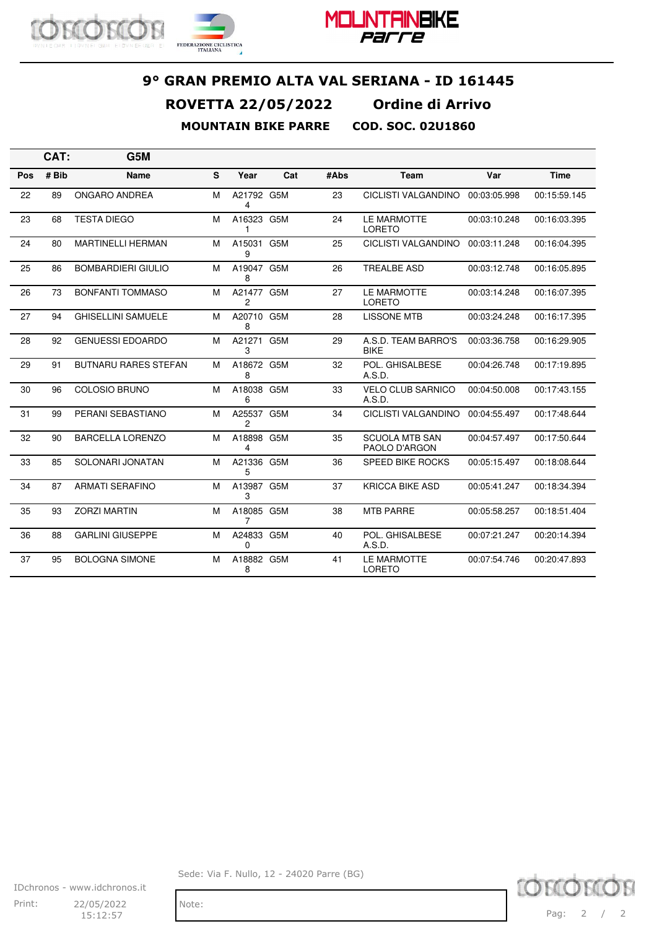



|     | CAT:  | G5M                         |   |                 |     |      |                                        |              |              |
|-----|-------|-----------------------------|---|-----------------|-----|------|----------------------------------------|--------------|--------------|
| Pos | # Bib | Name                        | S | Year            | Cat | #Abs | Team                                   | Var          | <b>Time</b>  |
| 22  | 89    | <b>ONGARO ANDREA</b>        | м | A21792 G5M<br>4 |     | 23   | <b>CICLISTI VALGANDINO</b>             | 00:03:05.998 | 00:15:59.145 |
| 23  | 68    | <b>TESTA DIEGO</b>          | м | A16323 G5M<br>1 |     | 24   | LE MARMOTTE<br><b>LORETO</b>           | 00:03:10.248 | 00:16:03.395 |
| 24  | 80    | <b>MARTINELLI HERMAN</b>    | м | A15031 G5M<br>9 |     | 25   | <b>CICLISTI VALGANDINO</b>             | 00:03:11.248 | 00:16:04.395 |
| 25  | 86    | <b>BOMBARDIERI GIULIO</b>   | м | A19047 G5M<br>8 |     | 26   | <b>TREALBE ASD</b>                     | 00:03:12.748 | 00:16:05.895 |
| 26  | 73    | <b>BONFANTI TOMMASO</b>     | м | A21477 G5M<br>2 |     | 27   | LE MARMOTTE<br>LORETO                  | 00:03:14.248 | 00:16:07.395 |
| 27  | 94    | <b>GHISELLINI SAMUELE</b>   | м | A20710 G5M<br>8 |     | 28   | <b>LISSONE MTB</b>                     | 00:03:24.248 | 00:16:17.395 |
| 28  | 92    | <b>GENUESSI EDOARDO</b>     | м | A21271 G5M<br>3 |     | 29   | A.S.D. TEAM BARRO'S<br><b>BIKE</b>     | 00:03:36.758 | 00:16:29.905 |
| 29  | 91    | <b>BUTNARU RARES STEFAN</b> | м | A18672 G5M<br>8 |     | 32   | POL. GHISALBESE<br>A.S.D.              | 00:04:26.748 | 00:17:19.895 |
| 30  | 96    | <b>COLOSIO BRUNO</b>        | м | A18038 G5M<br>6 |     | 33   | <b>VELO CLUB SARNICO</b><br>A.S.D.     | 00:04:50.008 | 00:17:43.155 |
| 31  | 99    | PERANI SEBASTIANO           | м | A25537 G5M<br>2 |     | 34   | <b>CICLISTI VALGANDINO</b>             | 00:04:55.497 | 00:17:48.644 |
| 32  | 90    | <b>BARCELLA LORENZO</b>     | м | A18898 G5M<br>4 |     | 35   | <b>SCUOLA MTB SAN</b><br>PAOLO D'ARGON | 00:04:57.497 | 00:17:50.644 |
| 33  | 85    | SOLONARI JONATAN            | м | A21336 G5M<br>5 |     | 36   | <b>SPEED BIKE ROCKS</b>                | 00:05:15.497 | 00:18:08.644 |
| 34  | 87    | <b>ARMATI SERAFINO</b>      | M | A13987 G5M<br>3 |     | 37   | <b>KRICCA BIKE ASD</b>                 | 00:05:41.247 | 00:18:34.394 |
| 35  | 93    | <b>ZORZI MARTIN</b>         | M | A18085 G5M<br>7 |     | 38   | <b>MTB PARRE</b>                       | 00:05:58.257 | 00:18:51.404 |
| 36  | 88    | <b>GARLINI GIUSEPPE</b>     | м | A24833 G5M<br>0 |     | 40   | POL. GHISALBESE<br>A.S.D.              | 00:07:21.247 | 00:20:14.394 |
| 37  | 95    | <b>BOLOGNA SIMONE</b>       | м | A18882 G5M<br>8 |     | 41   | LE MARMOTTE<br><b>LORETO</b>           | 00:07:54.746 | 00:20:47.893 |

IDchronos - www.idchronos.it Print: 22/05/2022 Note: 15:12:57

Sede: Via F. Nullo, 12 - 24020 Parre (BG)

**KOR** Pag: 2 / 2

10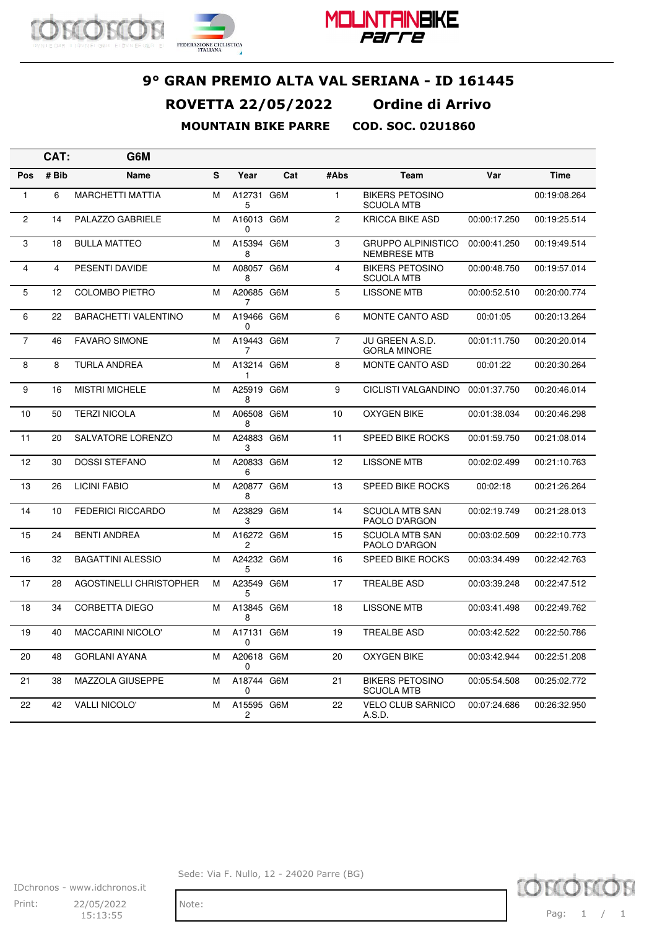





**CAT: G6M Pos # Bib Name S Year Cat #Abs Team Var Time** 1 6 MARCHETTI MATTIA M A12731 5 G6M 1 BIKERS PETOSINO SCUOLA MTB 00:19:08.264 2 14 PALAZZO GABRIELE M A16013 G6M 0 2 KRICCA BIKE ASD 00:00:17.250 00:19:25.514 3 18 BULLA MATTEO M A15394 G6M 8 3 GRUPPO ALPINISTICO NEMBRESE MTB 00:00:41.250 00:19:49.514 4 4 PESENTI DAVIDE M A08057 8 G6M 4 BIKERS PETOSINO SCUOLA MTB 00:00:48.750 00:19:57.014 5 12 COLOMBO PIETRO M A20685 G6M 7 G6M 5 LISSONE MTB 00:00:52.510 00:20:00.774 6 22 BARACHETTI VALENTINO M A19466 G6M  $\Omega$ G6M 6 MONTE CANTO ASD 00:01:05 00:20:13.264 7 46 FAVARO SIMONE M A19443 G6M 7 7 JU GREEN A.S.D. GORLA MINORE 00:01:11.750 00:20:20.014 8 8 TURLA ANDREA M A13214 G6M 1 8 MONTE CANTO ASD 00:01:22 00:20:30.264 9 16 MISTRI MICHELE M A25919 G6M 8 9 CICLISTI VALGANDINO 00:01:37.750 00:20:46.014 10 50 TERZI NICOLA M A06508 G6M 8 10 OXYGEN BIKE 00:01:38.034 00:20:46.298 11 20 SALVATORE LORENZO M A24883 G6M 3 G6M 11 SPEED BIKE ROCKS 00:01:59.750 00:21:08.014 12 30 DOSSI STEFANO M A20833 G6M 6 G6M 12 LISSONE MTB 00:02:02.499 00:21:10.763 13 26 LICINI FABIO M A20877 G6M 8 G6M 13 SPEED BIKE ROCKS 00:02:18 00:21:26.264 14 10 FEDERICI RICCARDO M A23829 G6M 3 14 SCUOLA MTB SAN PAOLO D'ARGON 00:02:19.749 00:21:28.013 15 24 BENTI ANDREA M A16272 G6M 2 15 SCUOLA MTB SAN PAOLO D'ARGON 00:03:02.509 00:22:10.773 16 32 BAGATTINI ALESSIO M A24232 G6M 5 G6M 16 SPEED BIKE ROCKS 00:03:34.499 00:22:42.763 17 28 AGOSTINELLI CHRISTOPHER M A23549 G6M 5 17 TREALBE ASD 00:03:39.248 00:22:47.512 18 34 CORBETTA DIEGO M A13845 G6M 8 18 LISSONE MTB 00:03:41.498 00:22:49.762 19 40 MACCARINI NICOLO' M A17131  $\Omega$ G6M 19 TREALBE ASD 00:03:42.522 00:22:50.786 20 48 GORLANI AYANA M A20618 G6M  $\Omega$ G6M 20 OXYGEN BIKE 00:03:42.944 00:22:51.208 21 38 MAZZOLA GIUSEPPE M A18744  $\Omega$ G6M 21 BIKERS PETOSINO SCUOLA MTB 00:05:54.508 00:25:02.772 22 42 VALLI NICOLO' M A15595 G6M 2 22 VELO CLUB SARNICO A.S.D. 00:07:24.686 00:26:32.950



IDchronos - www.idchronos.it Print: 22/05/2022 Note: 15:13:55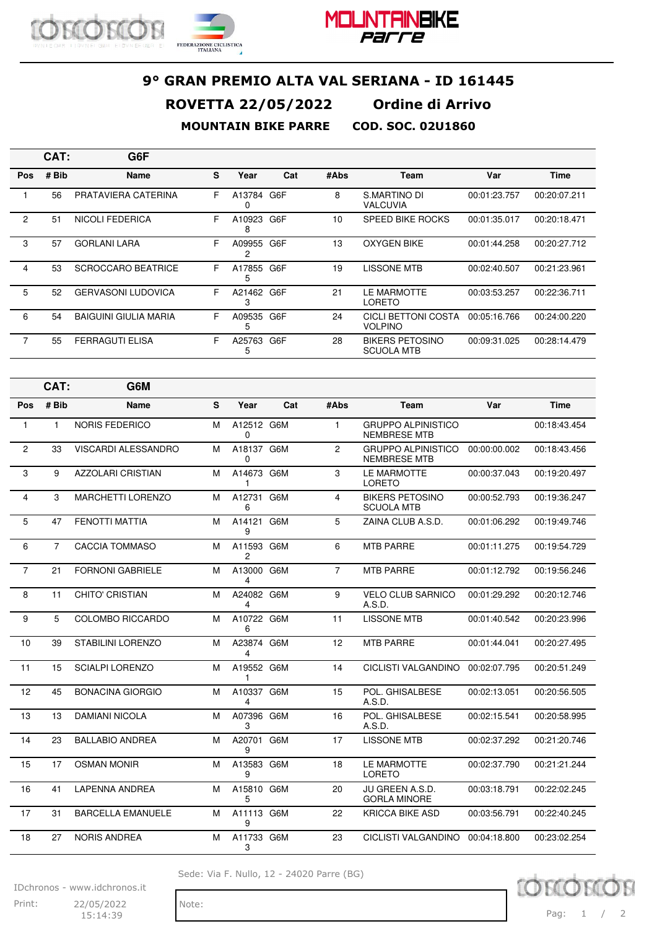





|     | CAT:  | G6F                          |    |                 |     |      |                                             |              |              |
|-----|-------|------------------------------|----|-----------------|-----|------|---------------------------------------------|--------------|--------------|
| Pos | # Bib | <b>Name</b>                  | s  | Year            | Cat | #Abs | Team                                        | Var          | Time         |
|     | 56    | PRATAVIERA CATERINA          | F  | A13784<br>0     | G6F | 8    | S.MARTINO DI<br><b>VALCUVIA</b>             | 00:01:23.757 | 00:20:07.211 |
| 2   | 51    | <b>NICOLI FEDERICA</b>       | F. | A10923<br>8     | G6F | 10   | <b>SPEED BIKE ROCKS</b>                     | 00:01:35.017 | 00:20:18.471 |
| 3   | 57    | <b>GORLANI LARA</b>          | F. | A09955<br>2     | G6F | 13   | <b>OXYGEN BIKE</b>                          | 00:01:44.258 | 00:20:27.712 |
| 4   | 53    | <b>SCROCCARO BEATRICE</b>    | F. | A17855<br>5     | G6F | 19   | <b>LISSONE MTB</b>                          | 00:02:40.507 | 00:21:23.961 |
| 5   | 52    | <b>GERVASONI LUDOVICA</b>    | F  | A21462<br>3     | G6F | 21   | LE MARMOTTE<br>LORETO                       | 00:03:53.257 | 00:22:36.711 |
| 6   | 54    | <b>BAIGUINI GIULIA MARIA</b> | F. | A09535 G6F<br>5 |     | 24   | CICLI BETTONI COSTA<br><b>VOLPINO</b>       | 00:05:16.766 | 00:24:00.220 |
| 7   | 55    | <b>FERRAGUTI ELISA</b>       | F  | A25763<br>5     | G6F | 28   | <b>BIKERS PETOSINO</b><br><b>SCUOLA MTB</b> | 00:09:31.025 | 00:28:14.479 |

|                | CAT:           | G6M                        |   |                        |     |                |                                                  |              |              |
|----------------|----------------|----------------------------|---|------------------------|-----|----------------|--------------------------------------------------|--------------|--------------|
| Pos            | # Bib          | Name                       | S | Year                   | Cat | #Abs           | Team                                             | Var          | <b>Time</b>  |
| $\mathbf{1}$   | $\mathbf{1}$   | <b>NORIS FEDERICO</b>      | M | A12512 G6M<br>$\Omega$ |     | $\mathbf{1}$   | <b>GRUPPO ALPINISTICO</b><br><b>NEMBRESE MTB</b> |              | 00:18:43.454 |
| $\overline{2}$ | 33             | <b>VISCARDI ALESSANDRO</b> | M | A18137 G6M<br>0        |     | $\overline{c}$ | <b>GRUPPO ALPINISTICO</b><br><b>NEMBRESE MTB</b> | 00:00:00.002 | 00:18:43.456 |
| 3              | 9              | <b>AZZOLARI CRISTIAN</b>   | М | A14673 G6M<br>1        |     | 3              | LE MARMOTTE<br><b>LORETO</b>                     | 00:00:37.043 | 00:19:20.497 |
| $\overline{4}$ | 3              | <b>MARCHETTI LORENZO</b>   | M | A12731<br>6            | G6M | $\overline{4}$ | <b>BIKERS PETOSINO</b><br><b>SCUOLA MTB</b>      | 00:00:52.793 | 00:19:36.247 |
| 5              | 47             | <b>FENOTTI MATTIA</b>      | м | A14121 G6M<br>9        |     | 5              | ZAINA CLUB A.S.D.                                | 00:01:06.292 | 00:19:49.746 |
| 6              | $\overline{7}$ | <b>CACCIA TOMMASO</b>      | М | A11593 G6M<br>2        |     | 6              | <b>MTB PARRE</b>                                 | 00:01:11.275 | 00:19:54.729 |
| $\overline{7}$ | 21             | <b>FORNONI GABRIELE</b>    | М | A13000 G6M<br>4        |     | $\overline{7}$ | <b>MTB PARRE</b>                                 | 00:01:12.792 | 00:19:56.246 |
| 8              | 11             | <b>CHITO' CRISTIAN</b>     | М | A24082 G6M<br>4        |     | 9              | <b>VELO CLUB SARNICO</b><br>A.S.D.               | 00:01:29.292 | 00:20:12.746 |
| 9              | 5              | <b>COLOMBO RICCARDO</b>    | М | A10722 G6M<br>6        |     | 11             | <b>LISSONE MTB</b>                               | 00:01:40.542 | 00:20:23.996 |
| 10             | 39             | <b>STABILINI LORENZO</b>   | М | A23874 G6M<br>4        |     | 12             | <b>MTB PARRE</b>                                 | 00:01:44.041 | 00:20:27.495 |
| 11             | 15             | <b>SCIALPI LORENZO</b>     | м | A19552 G6M<br>1        |     | 14             | <b>CICLISTI VALGANDINO</b>                       | 00:02:07.795 | 00:20:51.249 |
| 12             | 45             | <b>BONACINA GIORGIO</b>    | M | A10337 G6M<br>4        |     | 15             | POL. GHISALBESE<br>A.S.D.                        | 00:02:13.051 | 00:20:56.505 |
| 13             | 13             | <b>DAMIANI NICOLA</b>      | М | A07396 G6M<br>3        |     | 16             | POL. GHISALBESE<br>A.S.D.                        | 00:02:15.541 | 00:20:58.995 |
| 14             | 23             | <b>BALLABIO ANDREA</b>     | М | A20701 G6M<br>Й        |     | 17             | <b>LISSONE MTB</b>                               | 00:02:37.292 | 00:21:20.746 |
| 15             | 17             | <b>OSMAN MONIR</b>         | M | A13583 G6M<br>9        |     | 18             | LE MARMOTTE<br><b>LORETO</b>                     | 00:02:37.790 | 00:21:21.244 |
| 16             | 41             | <b>LAPENNA ANDREA</b>      | М | A15810 G6M<br>5        |     | 20             | JU GREEN A.S.D.<br><b>GORLA MINORE</b>           | 00:03:18.791 | 00:22:02.245 |
| 17             | 31             | <b>BARCELLA EMANUELE</b>   | M | A11113 G6M<br>9        |     | 22             | <b>KRICCA BIKE ASD</b>                           | 00:03:56.791 | 00:22:40.245 |
| 18             | 27             | <b>NORIS ANDREA</b>        | м | A11733 G6M<br>3        |     | 23             | <b>CICLISTI VALGANDINO</b>                       | 00:04:18.800 | 00:23:02.254 |

Sede: Via F. Nullo, 12 - 24020 Parre (BG)



IDchronos - www.idchronos.it

Print: 22/05/2022 Note: 15:14:39